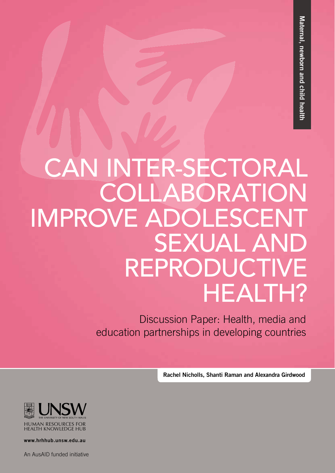# CAN INTER-SECTORAL COLLABORATION IMPROVE ADOLESCENT SEXUAL AND REPRODUCTIVE HEALTH?

Discussion Paper: Health, media and education partnerships in developing countries

Rachel Nicholls, Shanti Raman and Alexandra Girdwood



www.hrhhub.unsw.edu.au

An AusAID funded initiative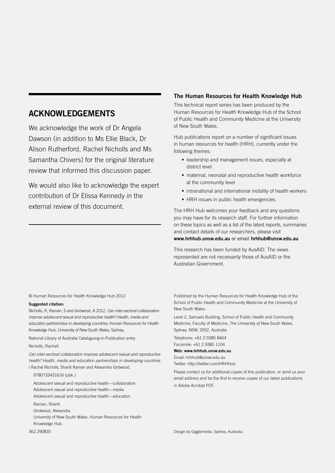#### ACKNOWLEDGEMENTS

We acknowledge the work of Dr Angela Dawson (in addition to Ms Ellie Black, Dr Alison Rutherford, Rachel Nicholls and Ms Samantha Chivers) for the original literature review that informed this discussion paper.

We would also like to acknowledge the expert contribution of Dr Elissa Kennedy in the external review of this document.

#### The Human Resources for Health Knowledge Hub

This technical report series has been produced by the Human Resources for Health Knowledge Hub of the School of Public Health and Community Medicine at the University of New South Wales.

Hub publications report on a number of significant issues in human resources for health (HRH), currently under the following themes:

- leadership and management issues, especially at district level
- maternal, neonatal and reproductive health workforce at the community level
- intranational and international mobility of health workers
- HRH issues in public health emergencies.

The HRH Hub welcomes your feedback and any questions you may have for its research staff. For further information on these topics as well as a list of the latest reports, summaries and contact details of our researchers, please visit www.hrhhub.unsw.edu.au or email hrhhub@unsw.edu.au

This research has been funded by AusAID. The views represented are not necessarily those of AusAID or the Australian Government.

© Human Resources for Health Knowledge Hub 2012

#### Suggested citation:

Nicholls, R, Raman, S and Girdwood, A 2012, *Can inter-sectoral collaboration improve adolescent sexual and reproductive health? Health, media and education partnerships in developing countries,* Human Resources for Health Knowledge Hub, University of New South Wales, Sydney..

National Library of Australia Cataloguing-in-Publication entry Nicholls, Rachell.

*Can inter-sectoral collaboration improve adolescent sexual and reproductive health? Health, media and education partnerships in developing countries* / Rachel Nicholls, Shanti Raman and Alexandra Girdwood.

9780733431616 (pbk.)

Knowledge Hub. 362.290835

Adolescent sexual and reproductive health—collaboration Adolescent sexual and reproductive health—media Adolescent sexual and reproductive health—education Raman, Shanti. Girdwood, Alexandra University of New South Wales. Human Resources for Health

Published by the Human Resources for Health Knowledge Hub of the School of Public Health and Community Medicine at the University of New South Wales.

Level 2, Samuels Building, School of Public Health and Community Medicine, Faculty of Medicine, The University of New South Wales, Sydney, NSW, 2052, Australia

Telephone: +61 2 9385 8464 Facsimile: +61 2 9385 1104

Web: www.hrhhub.unsw.edu.au Email: hrhhub@unsw.edu.au Twitter: http://twitter.com/HRHHub

Please contact us for additional copies of this publication, or send us your email address and be the first to receive copies of our latest publications in Adobe Acrobat PDF.

Design by Gigglemedia, Sydney, Australia.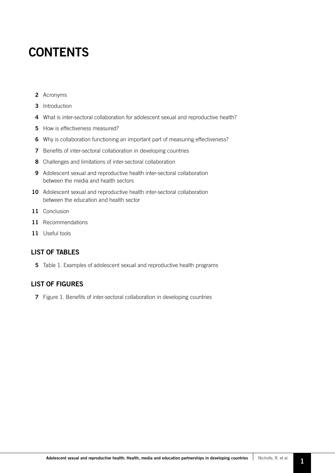### **CONTENTS**

- 2 Acronyms
- 3 Introduction
- 4 What is inter-sectoral collaboration for adolescent sexual and reproductive health?
- 5 How is effectiveness measured?
- 6 Why is collaboration functioning an important part of measuring effectiveness?
- 7 Benefits of inter-sectoral collaboration in developing countries
- 8 Challenges and limitations of inter-sectoral collaboration
- 9 Adolescent sexual and reproductive health inter-sectoral collaboration between the media and health sectors
- 10 Adolescent sexual and reproductive health inter-sectoral collaboration between the education and health sector
- 11 Conclusion
- 11 Recommendations
- 11 Useful tools

#### LIST OF TABLES

5 Table 1. Examples of adolescent sexual and reproductive health programs

#### LIST OF FIGURES

7 Figure 1. Benefits of inter-sectoral collaboration in developing countries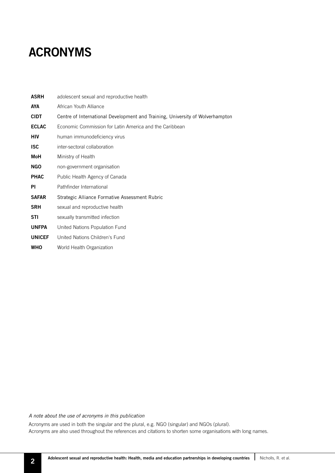### ACRONYMS

| <b>ASRH</b>   | adolescent sexual and reproductive health                                     |  |  |
|---------------|-------------------------------------------------------------------------------|--|--|
| <b>AYA</b>    | African Youth Alliance                                                        |  |  |
| <b>CIDT</b>   | Centre of International Development and Training, University of Wolverhampton |  |  |
| <b>ECLAC</b>  | Economic Commission for Latin America and the Caribbean                       |  |  |
| HIV           | human immunodeficiency virus                                                  |  |  |
| <b>ISC</b>    | inter-sectoral collaboration                                                  |  |  |
| MoH           | Ministry of Health                                                            |  |  |
| <b>NGO</b>    | non-government organisation                                                   |  |  |
| <b>PHAC</b>   | Public Health Agency of Canada                                                |  |  |
| ΡI            | Pathfinder International                                                      |  |  |
| <b>SAFAR</b>  | Strategic Alliance Formative Assessment Rubric                                |  |  |
| <b>SRH</b>    | sexual and reproductive health                                                |  |  |
| <b>STI</b>    | sexually transmitted infection                                                |  |  |
| <b>UNFPA</b>  | United Nations Population Fund                                                |  |  |
| <b>UNICEF</b> | United Nations Children's Fund                                                |  |  |
| WHO           | World Health Organization                                                     |  |  |

*A note about the use of acronyms in this publication* 

Acronyms are used in both the singular and the plural, e.g. NGO (singular) and NGOs (plural). Acronyms are also used throughout the references and citations to shorten some organisations with long names.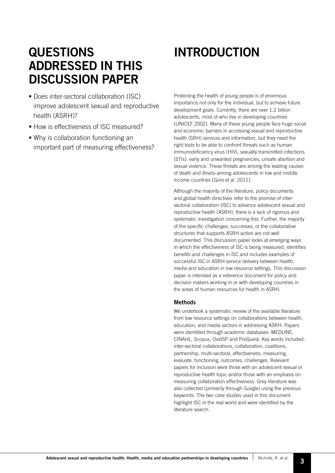### QUESTIONS ADDRESSED IN THIS DISCUSSION PAPER

- **Does inter-sectoral collaboration (ISC)** improve adolescent sexual and reproductive health (ASRH)?
- How is effectiveness of ISC measured?
- Why is collaboration functioning an important part of measuring effectiveness?

## INTRODUCTION

Protecting the health of young people is of enormous importance not only for the individual, but to achieve future development goals. Currently, there are over 1.2 billion adolescents, most of who live in developing countries [UNICEF 2002]. Many of these young people face huge social and economic barriers in accessing sexual and reproductive health (SRH) services and information, but they need the right tools to be able to confront threats such as human immunodeficiency virus (HIV), sexually transmitted infections (STIs), early and unwanted pregnancies, unsafe abortion and sexual violence. These threats are among the leading causes of death and illness among adolescents in low and middle income countries [Gore et al. 2011].

Although the majority of the literature, policy documents and global health directives refer to the promise of intersectoral collaboration (ISC) to advance adolescent sexual and reproductive health (ASRH), there is a lack of rigorous and systematic investigation concerning this. Further, the majority of the specific challenges, successes, or the collaborative structures that supports ASRH action are not well documented. This discussion paper looks at emerging ways in which the effectiveness of ISC is being measured, identifies benefits and challenges in ISC and includes examples of successful ISC in ASRH service delivery between health, media and education in low resource settings. This discussion paper is intended as a reference document for policy and decision makers working in or with developing countries in the areas of human resources for health in ASRH.

#### **Methods**

We undertook a systematic review of the available literature from low resource settings on collaborations between health, education, and media sectors in addressing ASRH. Papers were identified through academic databases: MEDLINE, CINAHL, Scopus, OvidSP and ProQuest. Key words included: inter-sectoral collaborations, collaboration, coalitions, partnership, multi-sectoral, effectiveness, measuring, evaluate, functioning, outcomes, challenges. Relevant papers for inclusion were those with an adolescent sexual or reproductive health topic and/or those with an emphasis on measuring collaboration effectiveness. Grey literature was also collected (primarily through Google) using the previous keywords. The two case studies used in this document highlight ISC in the real world and were identified by the literature search.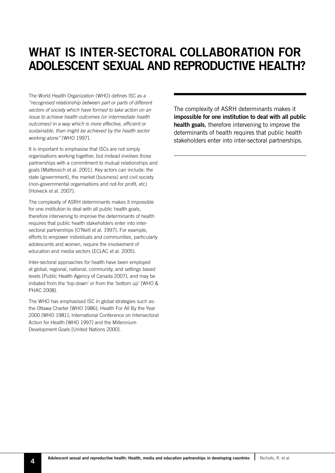### WHAT IS INTER-SECTORAL COLLABORATION FOR ADOLESCENT SEXUAL AND REPRODUCTIVE HEALTH?

The World Health Organization (WHO) defines ISC as a *"recognised relationship between part or parts of different sectors of society which have formed to take action on an issue to achieve health outcomes (or intermediate health outcomes) in a way which is more effective, efficient or sustainable, than might be achieved by the health sector working alone"* [WHO 1997].

It is important to emphasise that ISCs are not simply organisations working together, but instead involves those partnerships with a commitment to mutual relationships and goals [Mattessich et al. 2001]. Key actors can include: the state (government), the market (business) and civil society (non-governmental organisations and not-for profit, etc) [Holveck et al. 2007].

The complexity of ASRH determinants makes it impossible for one institution to deal with all public health goals, therefore intervening to improve the determinants of health requires that public health stakeholders enter into intersectoral partnerships [O'Neill et al. 1997]. For example, efforts to empower individuals and communities, particularly adolescents and women, require the involvement of education and media sectors [ECLAC et al. 2005].

Inter-sectoral approaches for health have been employed at global, regional, national, community, and settings based levels [Public Health Agency of Canada 2007], and may be initiated from the 'top-down' or from the 'bottom up' [WHO & PHAC 2008].

The WHO has emphasised ISC in global strategies such as: the Ottawa Charter [WHO 1986]; Health For All By the Year 2000 [WHO 1981]; International Conference on Intersectoral Action for Health [WHO 1997] and the Millennium Development Goals [United Nations 2000].

The complexity of ASRH determinants makes it impossible for one institution to deal with all public health goals, therefore intervening to improve the determinants of health requires that public health stakeholders enter into inter-sectoral partnerships.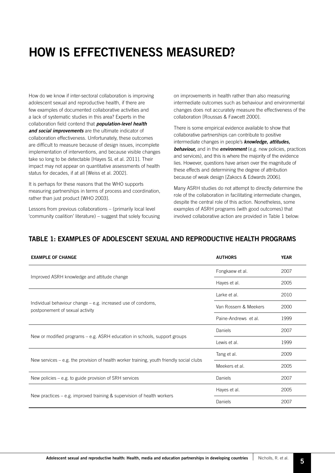### HOW IS EFFECTIVENESS MEASURED?

How do we know if inter-sectoral collaboration is improving adolescent sexual and reproductive health, if there are few examples of documented collaborative activities and a lack of systematic studies in this area? Experts in the collaboration field contend that **population-level health** *and social improvements* are the ultimate indicator of collaboration effectiveness. Unfortunately, these outcomes are difficult to measure because of design issues, incomplete implementation of interventions, and because visible changes take so long to be detectable [Hayes SL et al. 2011]. Their impact may not appear on quantitative assessments of health status for decades, if at all [Weiss et al. 2002].

It is perhaps for these reasons that the WHO supports measuring partnerships in terms of process and coordination, rather than just product [WHO 2003].

Lessons from previous collaborations – (primarily local level 'community coalition' literature) – suggest that solely focusing

on improvements in health rather than also measuring intermediate outcomes such as behaviour and environmental changes does not accurately measure the effectiveness of the collaboration [Roussas & Fawcett 2000].

There is some empirical evidence available to show that collaborative partnerships can contribute to positive intermediate changes in people's *knowledge, attitudes, behaviour,* and in the *environment* (e.g. new policies, practices and services), and this is where the majority of the evidence lies. However, questions have arisen over the magnitude of these effects and determining the degree of attribution because of weak design [Zakocs & Edwards 2006].

Many ASRH studies do not attempt to directly determine the role of the collaboration in facilitating intermediate changes, despite the central role of this action. Nonetheless, some examples of ASRH programs (with good outcomes) that involved collaborative action are provided in Table 1 below:

#### TABLE 1: EXAMPLES OF ADOLESCENT SEXUAL AND REPRODUCTIVE HEALTH PROGRAMS

| <b>EXAMPLE OF CHANGE</b>                                                                        | <b>AUTHORS</b>       | <b>YEAR</b> |
|-------------------------------------------------------------------------------------------------|----------------------|-------------|
|                                                                                                 | Fongkaew et al.      | 2007        |
| Improved ASRH knowledge and attitude change                                                     | Hayes et al.         | 2005        |
|                                                                                                 | Larke et al.         | 2010        |
| Individual behaviour change – e.g. increased use of condoms,<br>postponement of sexual activity | Van Rossem & Meekers | 2000        |
|                                                                                                 | Paine-Andrews et al. | 1999        |
|                                                                                                 | Daniels              | 2007        |
| New or modified programs $-$ e.g. ASRH education in schools, support groups                     | Lewis et al.         | 1999        |
|                                                                                                 | Tang et al.          | 2009        |
| New services $-$ e.g. the provision of health worker training, youth friendly social clubs      | Meekers et al.       | 2005        |
| New policies $-$ e.g. to guide provision of SRH services                                        | Daniels              | 2007        |
|                                                                                                 | Hayes et al.         | 2005        |
| New practices $-$ e.g. improved training & supervision of health workers                        | Daniels              | 2007        |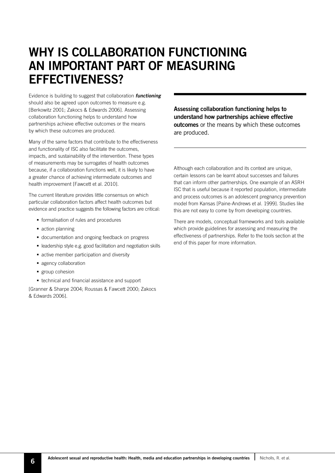### WHY IS COLLABORATION FUNCTIONING AN IMPORTANT PART OF MEASURING EFFECTIVENESS?

Evidence is building to suggest that collaboration *functioning*  should also be agreed upon outcomes to measure e.g. [Berkowitz 2001; Zakocs & Edwards 2006]. Assessing collaboration functioning helps to understand how partnerships achieve effective outcomes or the means by which these outcomes are produced.

Many of the same factors that contribute to the effectiveness and functionality of ISC also facilitate the outcomes, impacts, and sustainability of the intervention. These types of measurements may be surrogates of health outcomes because, if a collaboration functions well, it is likely to have a greater chance of achieving intermediate outcomes and health improvement [Fawcett et al. 2010].

The current literature provides little consensus on which particular collaboration factors affect health outcomes but evidence and practice suggests the following factors are critical:

- **formalisation of rules and procedures**
- action planning
- documentation and ongoing feedback on progress
- leadership style e.g. good facilitation and negotiation skills
- active member participation and diversity
- **agency collaboration**
- **group cohesion**
- $\blacksquare$  technical and financial assistance and support

[Granner & Sharpe 2004; Roussas & Fawcett 2000; Zakocs & Edwards 2006].

Assessing collaboration functioning helps to understand how partnerships achieve effective outcomes or the means by which these outcomes are produced.

Although each collaboration and its context are unique, certain lessons can be learnt about successes and failures that can inform other partnerships. One example of an ASRH ISC that is useful because it reported population, intermediate and process outcomes is an adolescent pregnancy prevention model from Kansas [Paine-Andrews et al. 1999]. Studies like this are not easy to come by from developing countries.

There are models, conceptual frameworks and tools available which provide guidelines for assessing and measuring the effectiveness of partnerships. Refer to the tools section at the end of this paper for more information.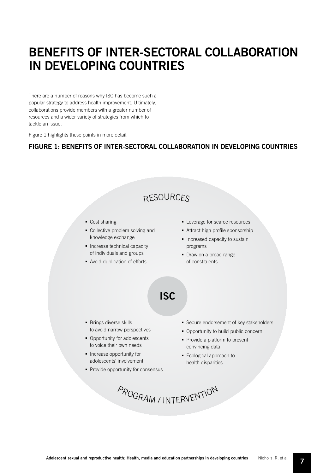### BENEFITS OF INTER-SECTORAL COLLABORATION IN DEVELOPING COUNTRIES

There are a number of reasons why ISC has become such a popular strategy to address health improvement. Ultimately, collaborations provide members with a greater number of resources and a wider variety of strategies from which to tackle an issue.

Figure 1 highlights these points in more detail.

#### FIGURE 1: BENEFITS OF INTER-SECTORAL COLLABORATION IN DEVELOPING COUNTRIES

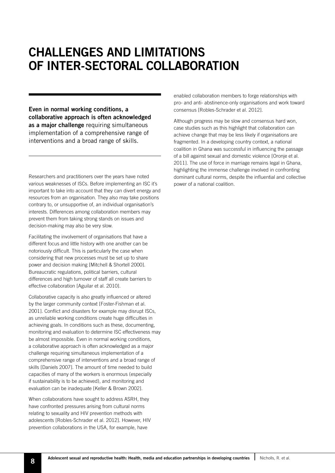### CHALLENGES AND LIMITATIONS OF INTER-SECTORAL COLLABORATION

Even in normal working conditions, a collaborative approach is often acknowledged as a major challenge requiring simultaneous implementation of a comprehensive range of interventions and a broad range of skills.

Researchers and practitioners over the years have noted various weaknesses of ISCs. Before implementing an ISC it's important to take into account that they can divert energy and resources from an organisation. They also may take positions contrary to, or unsupportive of, an individual organisation's interests. Differences among collaboration members may prevent them from taking strong stands on issues and decision-making may also be very slow.

Facilitating the involvement of organisations that have a different focus and little history with one another can be notoriously difficult. This is particularly the case when considering that new processes must be set up to share power and decision making [Mitchell & Shortell 2000]. Bureaucratic regulations, political barriers, cultural differences and high turnover of staff all create barriers to effective collaboration [Aguilar et al. 2010].

Collaborative capacity is also greatly influenced or altered by the larger community context [Foster-Fishman et al. 2001]. Conflict and disasters for example may disrupt ISCs, as unreliable working conditions create huge difficulties in achieving goals. In conditions such as these, documenting, monitoring and evaluation to determine ISC effectiveness may be almost impossible. Even in normal working conditions, a collaborative approach is often acknowledged as a major challenge requiring simultaneous implementation of a comprehensive range of interventions and a broad range of skills [Daniels 2007]. The amount of time needed to build capacities of many of the workers is enormous (especially if sustainability is to be achieved), and monitoring and evaluation can be inadequate [Keller & Brown 2002].

When collaborations have sought to address ASRH, they have confronted pressures arising from cultural norms relating to sexuality and HIV prevention methods with adolescents [Robles-Schrader et al. 2012]. However, HIV prevention collaborations in the USA, for example, have

enabled collaboration members to forge relationships with pro- and anti- abstinence-only organisations and work toward consensus [Robles-Schrader et al. 2012].

Although progress may be slow and consensus hard won, case studies such as this highlight that collaboration can achieve change that may be less likely if organisations are fragmented. In a developing country context, a national coalition in Ghana was successful in influencing the passage of a bill against sexual and domestic violence [Oronje et al. 2011]. The use of force in marriage remains legal in Ghana, highlighting the immense challenge involved in confronting dominant cultural norms, despite the influential and collective power of a national coalition.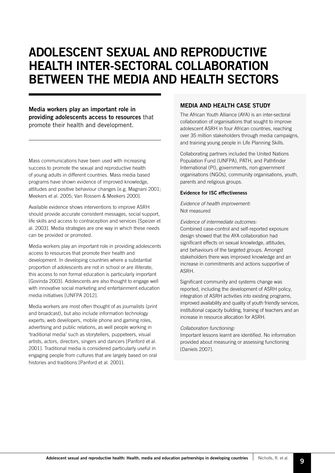### ADOLESCENT SEXUAL AND REPRODUCTIVE HEALTH INTER-SECTORAL COLLABORATION BETWEEN THE MEDIA AND HEALTH SECTORS

Media workers play an important role in providing adolescents access to resources that promote their health and development.

Mass communications have been used with increasing success to promote the sexual and reproductive health of young adults in different countries. Mass media based programs have shown evidence of improved knowledge, attitudes and positive behaviour changes [e.g. Magnani 2001; Meekers et al. 2005; Van Rossem & Meekers 2000].

Available evidence shows interventions to improve ASRH should provide accurate consistent messages, social support, life skills and access to contraception and services [Speizer et al. 2003]. Media strategies are one way in which these needs can be provided or promoted.

Media workers play an important role in providing adolescents access to resources that promote their health and development. In developing countries where a substantial proportion of adolescents are not in school or are illiterate, this access to non formal education is particularly important [Govinda 2003]. Adolescents are also thought to engage well with innovative social marketing and entertainment education media initiatives [UNFPA 2012].

Media workers are most often thought of as journalists (print and broadcast), but also include information technology experts; web developers, mobile phone and gaming roles, advertising and public relations, as well people working in 'traditional media' such as storytellers, puppeteers, visual artists, actors, directors, singers and dancers [Panford et al. 2001]. Traditional media is considered particularly useful in engaging people from cultures that are largely based on oral histories and traditions [Panford et al. 2001].

#### MEDIA AND HEALTH CASE STUDY

The African Youth Alliance (AYA) is an inter-sectoral collaboration of organisations that sought to improve adolescent ASRH in four African countries, reaching over 35 million stakeholders through media campaigns, and training young people in Life Planning Skills.

Collaborating partners included the United Nations Population Fund (UNFPA), PATH, and Pathfinder International (PI), governments, non-government organisations (NGOs), community organisations, youth, parents and religious groups.

#### Evidence for ISC effectiveness

*Evidence of health improvement:* Not measured

*Evidence of intermediate outcomes:*  Combined case-control and self-reported exposure design showed that the AYA collaboration had significant effects on sexual knowledge, attitudes, and behaviours of the targeted groups. Amongst stakeholders there was improved knowledge and an increase in commitments and actions supportive of ASRH.

Significant community and systems change was reported, including the development of ASRH policy, integration of ASRH activities into existing programs, improved availability and quality of youth friendly services, institutional capacity building, training of teachers and an increase in resource allocation for ASRH.

#### *Collaboration functioning:*

Important lessons learnt are identified. No information provided about measuring or assessing functioning [Daniels 2007].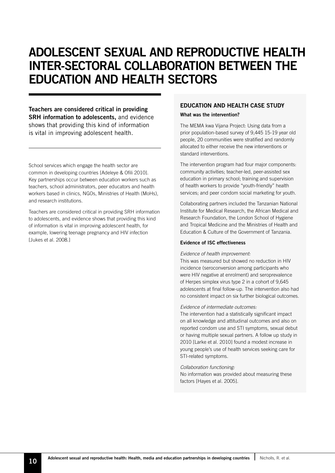### ADOLESCENT SEXUAL AND REPRODUCTIVE HEALTH INTER-SECTORAL COLLABORATION BETWEEN THE EDUCATION AND HEALTH SECTORS

Teachers are considered critical in providing SRH information to adolescents, and evidence shows that providing this kind of information is vital in improving adolescent health.

School services which engage the health sector are common in developing countries [Adeleye & Ofili 2010]. Key partnerships occur between education workers such as teachers, school administrators, peer educators and health workers based in clinics, NGOs, Ministries of Health (MoHs), and research institutions.

Teachers are considered critical in providing SRH information to adolescents, and evidence shows that providing this kind of information is vital in improving adolescent health, for example, lowering teenage pregnancy and HIV infection [Jukes et al. 2008.]

#### EDUCATION AND HEALTH CASE STUDY

#### What was the intervention?

The MEMA kwa Vijana Project: Using data from a prior population-based survey of 9,445 15-19 year old people, 20 communities were stratified and randomly allocated to either receive the new interventions or standard interventions.

The intervention program had four major components: community activities; teacher-led, peer-assisted sex education in primary school; training and supervision of health workers to provide "youth-friendly" health services; and peer condom social marketing for youth.

Collaborating partners included the Tanzanian National Institute for Medical Research, the African Medical and Research Foundation, the London School of Hygiene and Tropical Medicine and the Ministries of Health and Education & Culture of the Government of Tanzania.

#### Evidence of ISC effectiveness

#### *Evidence of health improvement:*

This was measured but showed no reduction in HIV incidence (seroconversion among participants who were HIV negative at enrolment) and seroprevalence of Herpes simplex virus type 2 in a cohort of 9,645 adolescents at final follow-up. The intervention also had no consistent impact on six further biological outcomes.

#### *Evidence of intermediate outcomes:*

The intervention had a statistically significant impact on all knowledge and attitudinal outcomes and also on reported condom use and STI symptoms, sexual debut or having multiple sexual partners. A follow up study in 2010 [Larke et al. 2010] found a modest increase in young people's use of health services seeking care for STI-related symptoms.

#### *Collaboration functioning:*

No information was provided about measuring these factors [Hayes et al. 2005].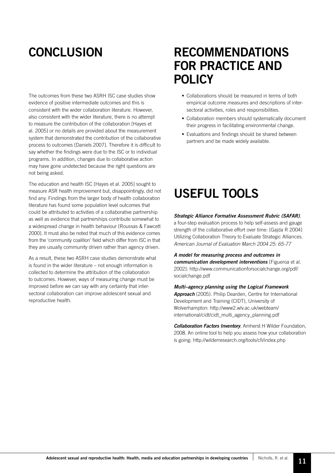The outcomes from these two ASRH ISC case studies show evidence of positive intermediate outcomes and this is consistent with the wider collaboration literature. However, also consistent with the wider literature, there is no attempt to measure the contribution of the collaboration [Hayes et al. 2005] or no details are provided about the measurement system that demonstrated the contribution of the collaborative process to outcomes [Daniels 2007]. Therefore it is difficult to say whether the findings were due to the ISC or to individual programs. In addition, changes due to collaborative action may have gone undetected because the right questions are not being asked.

The education and health ISC [Hayes et al. 2005] sought to measure ASR health improvement but, disappointingly, did not find any. Findings from the larger body of health collaboration literature has found some population level outcomes that could be attributed to activities of a collaborative partnership as well as evidence that partnerships contribute somewhat to a widespread change in health behaviour [Roussas & Fawcett 2000]. It must also be noted that much of this evidence comes from the 'community coalition' field which differ from ISC in that they are usually community driven rather than agency driven.

As a result, these two ASRH case studies demonstrate what is found in the wider literature – not enough information is collected to determine the attribution of the collaboration to outcomes. However, ways of measuring change must be improved before we can say with any certainty that intersectoral collaboration can improve adolescent sexual and reproductive health.

### CONCLUSION RECOMMENDATIONS FOR PRACTICE AND POLICY

- Collaborations should be measured in terms of both empirical outcome measures and descriptions of intersectoral activities, roles and responsibilities.
- Collaboration members should systematically document their progress in facilitating environmental change.
- Evaluations and findings should be shared between partners and be made widely available.

### USEFUL TOOLS

#### *Strategic Alliance Formative Assessment Rubric (SAFAR)*,

a four-step evaluation process to help self-assess and gauge strength of the collaborative effort over time: [Gajda R 2004] Utilizing Collaboration Theory to Evaluate Strategic Alliances. *American Journal of Evaluation March 2004 25: 65-77*

*A model for measuring process and outcomes in communication development interventions* [Figueroa et al. 2002]: http://www.communicationforsocialchange.org/pdf/ socialchange.pdf

*Multi–agency planning using the Logical Framework Approach* (2005). Philip Dearden, Centre for International Development and Training (CIDT), University of Wolverhampton: http://www2.wlv.ac.uk/webteam/ international/cidt/cidt\_multi\_agency\_planning.pdf

*Collaboration Factors Inventory*, Amherst H Wilder Foundation, 2008. An online tool to help you assess how your collaboration is going: http://wilderresearch.org/tools/cfi/index.php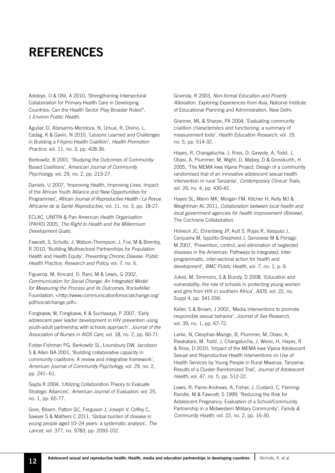### REFERENCES

Adeleye, O & Ofili, A 2010, 'Strengthening Intersectoral Collaboration for Primary Health Care in Developing Countries: Can the Health Sector Play Broader Roles?', J *Environ Public Health.*

Aguilar, D, Abesamis-Mendoza, N, Ursua, R, Divino, L, Cadag, K & Gavin, N 2010, 'Lessons Learned and Challenges in Building a Filipino Health Coalition', *Health Promotion Practice,* vol. 11, no. 3, pp. 428-36.

Berkowitz, B 2001, 'Studying the Outcomes of Community-Based Coalitions', *American Journal of Community Psychology,* vol. 29, no. 2, pp. 213-27.

Daniels, U 2007, 'Improving Health, Improving Lives: Impact of the African Youth Alliance and New Opportunities for Programmes', *African Journal of Reproductive Health / La Revue Africaine de la Santé Reproductive,* vol. 11, no. 3, pp. 18-27.

ECLAC, UNFPA & Pan American Health Organization (PAHO) 2005, *The Right to Health and the Millennium Development Goals.*

Fawcett, S, Schultz, J, Watson-Thompson, J, Fox, M & Bremby, R 2010, 'Building Multisectoral Partnerships for Population Health and Health Equity', *Preventing Chronic Disease. Public Health Practice, Research and Policy,* vol. 7, no. 6.

Figueroa, M, Kincaid, D, Rani, M & Lewis, G 2002, *Communication for Social Change: An Integrated Model for Measuring the Process and its Outcomes,* Rockefeller Foundation, <http://www.communicationforsocialchange.org/ pdf/socialchange.pdf>.

Fongkaew, W, Fongkaew, K & Suchaxaya, P 2007, 'Early adolescent peer leader development in HIV prevention using youth-adult partnership with schools approach', *Journal of the Association of Nurses in AIDS Care,* vol. 18, no. 2, pp. 60-71.

Foster-Fishman PG, Berkowitz SL, Lounsbury DW, Jacobson S & Allen NA 2001, 'Building collaborative capacity in community coalitions: A review and integrative framework', *American Journal of Community Psychology,* vol. 29, no. 2, pp. 241--61.

Gajda R 2004, 'Utilizing Collaboration Theory to Evaluate Strategic Alliances', *American Journal of Evaluation,* vol. 25, no. 1, pp. 65-77.

Gore, Bloem, Patton GC, Ferguson J, Joseph V, Coffey C, Sawyer S & Mathers C 2011, 'Global burden of disease in young people aged 10–24 years: a systematic analysis', *The Lancet,* vol. 377, no. 9783, pp. 2093-102.

Govinda, R 2003, *Non-formal Education and Poverty Alleviation. Exploring Experiences from Asia,* National Institute of Educational Planning and Administration, New Delhi.

Granner, ML & Sharpe, PA 2004, 'Evaluating community coalition characteristics and functioning: a summary of measurement tools', *Health Education Research,* vol. 19, no. 5, pp. 514-32.

Hayes, R, Changalucha, J, Ross, D, Gavyole, A, Todd, J, Obasi, A, Plummer, M, Wight, D, Mabey, D & Grosskurth, H 2005, 'The MEMA kwa Vijana Project: Design of a community randomised trial of an innovative adolescent sexual health intervention in rural Tanzania', *Contemporary Clinical Trials,*  vol. 26, no. 4, pp. 430-42.

Hayes SL, Mann MK, Morgan FM, Kitcher H, Kelly MJ & Weightman AL 2011, *Collaboration between local health and local government agencies for health improvement (Review),* The Cochrane Collaboration.

Holveck JC, Ehrenberg JP, Ault S, Rojas R, Vasquez J, Cerqueira M, Ippolito-Shepherd J, Genovese M & Periago M 2007, 'Prevention, control, and elimination of neglected diseases in the Americas: Pathways to integrated, interprogrammatic, inter-sectoral action for health and development', *BMC Public Health,* vol. 7, no. 1, p. 6.

Jukes, M, Simmons, S & Bundy, D 2008, 'Education and vulnerability: the role of schools in protecting young women and girls from HIV in southern Africa', *AIDS,* vol. 22, no. Suppl 4, pp. S41-S56.

Keller, S & Brown, J 2002, 'Media interventions to promote responsible sexual behavior', *Journal of Sex Research*, vol. 39, no. 1, pp. 67-72.

Larke, N, Cleophas-Mazige, B, Plummer, M, Obasi, A, Rwakatare, M, Todd, J, Changalucha, J, Weiss, H, Hayes, R & Ross, D 2010, 'Impact of the MEMA kwa Vijana Adolescent Sexual and Reproductive Health Interventions on Use of Health Services by Young People in Rural Mwanza, Tanzania: Results of a Cluster Randomized Trial', *Journal of Adolescent Health,* vol. 47, no. 5, pp. 512-22.

Lewis, R, Paine-Andrews, A, Fisher, J, Custard, C, Fleming-Randle, M & Fawcett, S 1999, 'Reducing the Risk for Adolescent Pregnancy: Evaluation of a School/Community Partnership in a Midwestern Military Community', *Family & Community Health,* vol. 22, no. 2, pp. 16-30.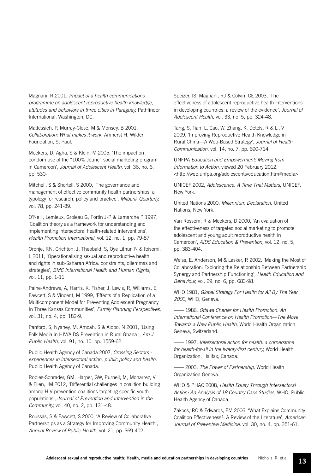Magnani, R 2001, *Impact of a health communications programme on adolescent reproductive health knowledge,*  attitudes and behaviors in three cities in Paraguay, Pathfinder International, Washington, DC.

Mattessich, P, Murray-Close, M & Monsey, B 2001, *Collaboration: What makes it work,* Amherst H. Wilder Foundation, St Paul.

Meekers, D, Agha, S & Klein, M 2005, 'The impact on condom use of the "100% Jeune" social marketing program in Cameroon', *Journal of Adolescent Health,* vol. 36, no. 6, pp. 530-.

Mitchell, S & Shortell, S 2000, 'The governance and management of effective community health partnerships: a typology for research, policy and practice', *Milbank Quarterly,*  vol. 78, pp. 241-89.

O'Neill, Lemieux, Groleau G, Fortin J-P & Lamarche P 1997, 'Coalition theory as a framework for understanding and implementing intersectoral health-related interventions', *Health Promotion International,* vol. 12, no. 1, pp. 79-87.

Oronje, RN, Crichton, J, Theobald, S, Oye Lithur, N & Ibisomi, L 2011, 'Operationalising sexual and reproductive health and rights in sub-Saharan Africa: constraints, dilemmas and strategies', *BMC International Health and Human Rights,* vol. 11, pp. 1-11.

Paine-Andrews, A, Harris, K, Fisher, J, Lewis, R, Williams, E, Fawcett, S & Vincent, M 1999, 'Effects of a Replication of a Multicomponent Model for Preventing Adolescent Pregnancy In Three Kansas Communities', *Family Planning Perspectives,*  vol. 31, no. 4, pp. 182-9.

Panford, S, Nyaney, M, Amoah, S & Aidoo, N 2001, 'Using Folk Media in HIV/AIDS Prevention in Rural Ghana ', *Am J Public Health,* vol. 91, no. 10, pp. 1559-62.

Public Health Agency of Canada 2007, *Crossing Sectors experiences in intersectoral action, public policy and health,* Public Health Agency of Canada.

Robles-Schrader, GM, Harper, GW, Purnell, M, Monarrez, V & Ellen, JM 2012, 'Differential challenges in coalition building among HIV prevention coalitions targeting specific youth populations', *Journal of Prevention and Intervention in the Community,* vol. 40, no. 2, pp. 131-48.

Roussas, S & Fawcett, S 2000, 'A Review of Collaborative Partnerships as a Strategy for Improving Community Health', *Annual Review of Public Health,* vol. 21, pp. 369-402.

Speizer, IS, Magnani, RJ & Colvin, CE 2003, 'The effectiveness of adolescent reproductive health interventions in developing countries: a review of the evidence', *Journal of Adolescent Health,* vol. 33, no. 5, pp. 324-48.

Tang, S, Tian, L, Cao, W, Zhang, K, Detels, R & Li, V 2009, 'Improving Reproductive Health Knowledge in Rural China—A Web-Based Strategy', *Journal of Health Communication,* vol. 14, no. 7, pp. 690-714.

UNFPA *Education and Empowerment: Moving from Information to Action,* viewed 20 February 2012, <http://web.unfpa.org/adolescents/education.htm#media>.

UNICEF 2002, *Adolescence: A Time That Matters*, UNICEF, New York.

United Nations 2000, *Millennium Declaration,* United Nations, New York.

Van Rossem, R & Meekers, D 2000, 'An evaluation of the effectiveness of targeted social marketing to promote adolescent and young adult reproductive health in Cameroon', *AIDS Education & Prevention,* vol. 12, no. 5, pp. 383-404.

Weiss, E, Anderson, M & Lasker, R 2002, 'Making the Most of Collaboration: Exploring the Relationship Between Partnership Synergy and Partnership Functioning', *Health Education and Behaviour,* vol. 29, no. 6, pp. 683-98.

WHO 1981, *Global Strategy For Health for All By The Year 2000,* WHO, Geneva.

—— 1986, *Ottawa Charter for Health Promotion: An International Conference on Health Promotion—The Move Towards a New Public Health,* World Health Organization, Geneva, Switzerland.

—— 1997, *Intersectoral action for health: a cornerstone*  for health-for-all in the twenty-first century, World Health Organization, Halifax, Canada.

—— 2003, *The Power of Partnership,* World Health Organization Geneva.

WHO & PHAC 2008, *Health Equity Through Intersectoral Action: An Analysis of 18 Country Case Studies,* WHO, Public Health Agency of Canada.

Zakocs, RC & Edwards, EM 2006, 'What Explains Community Coalition Effectiveness?: A Review of the Literature', *American Journal of Preventive Medicine,* vol. 30, no. 4, pp. 351-61.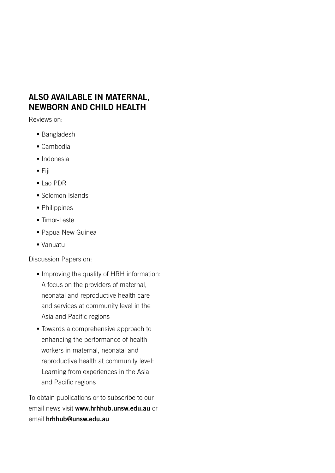### ALSO AVAILABLE IN MATERNAL, NEWBORN AND CHILD HEALTH

Reviews on:

- **Bangladesh**
- Cambodia
- **Indonesia**
- Fiji
- Lao PDR
- Solomon Islands
- Philippines
- **Timor-Leste**
- Papua New Guinea
- Vanuatu

Discussion Papers on:

- **Improving the quality of HRH information:** A focus on the providers of maternal, neonatal and reproductive health care and services at community level in the Asia and Pacific regions
- **Towards a comprehensive approach to** enhancing the performance of health workers in maternal, neonatal and reproductive health at community level: Learning from experiences in the Asia and Pacific regions

To obtain publications or to subscribe to our email news visit www.hrhhub.unsw.edu.au or email hrhhub@unsw.edu.au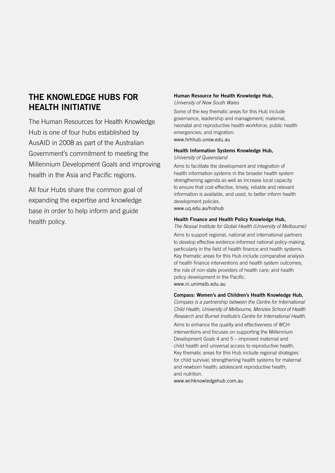#### THE KNOWLEDGE HUBS FOR HEALTH INITIATIVE

The Human Resources for Health Knowledge Hub is one of four hubs established by AusAID in 2008 as part of the Australian Government's commitment to meeting the Millennium Development Goals and improving health in the Asia and Pacific regions.

All four Hubs share the common goal of expanding the expertise and knowledge base in order to help inform and guide health policy.

#### Human Resource for Health Knowledge Hub, *University of New South Wales*

Some of the key thematic areas for this Hub include governance, leadership and management; maternal, neonatal and reproductive health workforce; public health emergencies; and migration. www.hrhhub.unsw.edu.au

#### Health Information Systems Knowledge Hub, *University of Queensland*

Aims to facilitate the development and integration of health information systems in the broader health system strengthening agenda as well as increase local capacity to ensure that cost-effective, timely, reliable and relevant information is available, and used, to better inform health development policies.

www.uq.edu.au/hishub

#### Health Finance and Health Policy Knowledge Hub,

*The Nossal Institute for Global Health (University of Melbourne)*

Aims to support regional, national and international partners to develop effective evidence-informed national policy-making, particularly in the field of health finance and health systems. Key thematic areas for this Hub include comparative analysis of health finance interventions and health system outcomes; the role of non-state providers of health care; and health policy development in the Pacific. www.ni.unimelb.edu.au

#### Compass: Women's and Children's Health Knowledge Hub,

*Compass is a partnership between the Centre for International Child Health, University of Melbourne, Menzies School of Health Research and Burnet Institute's Centre for International Health.*

Aims to enhance the quality and effectiveness of WCH interventions and focuses on supporting the Millennium Development Goals 4 and 5 – improved maternal and child health and universal access to reproductive health. Key thematic areas for this Hub include regional strategies for child survival; strengthening health systems for maternal and newborn health; adolescent reproductive health; and nutrition.

www.wchknowledgehub.com.au